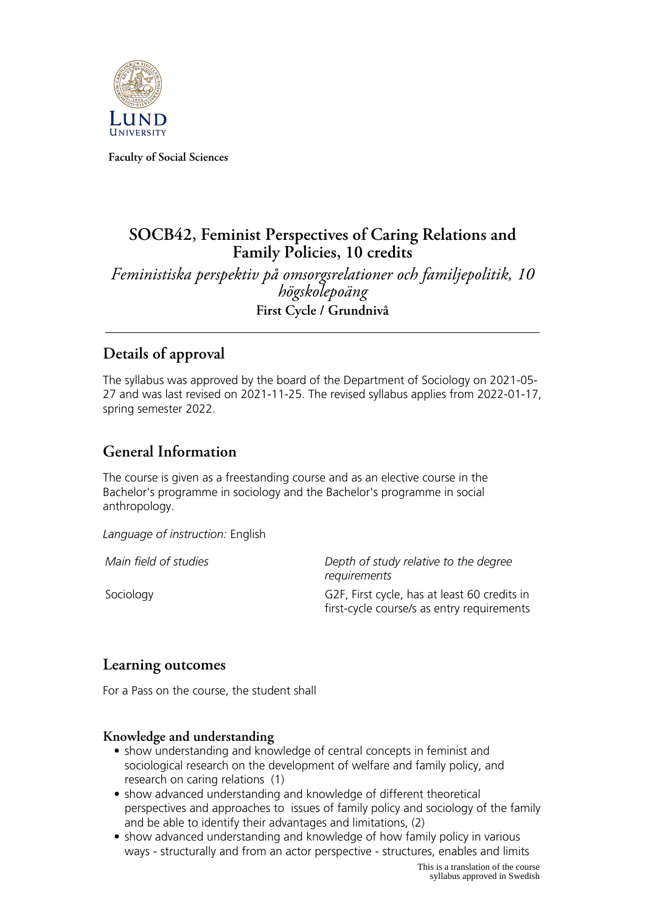

**Faculty of Social Sciences**

# **SOCB42, Feminist Perspectives of Caring Relations and Family Policies, 10 credits**

*Feministiska perspektiv på omsorgsrelationer och familjepolitik, 10 högskolepoäng* **First Cycle / Grundnivå**

# **Details of approval**

The syllabus was approved by the board of the Department of Sociology on 2021-05- 27 and was last revised on 2021-11-25. The revised syllabus applies from 2022-01-17, spring semester 2022.

## **General Information**

The course is given as a freestanding course and as an elective course in the Bachelor's programme in sociology and the Bachelor's programme in social anthropology.

*Language of instruction:* English

*Main field of studies Depth of study relative to the degree requirements* Sociology G2F, First cycle, has at least 60 credits in

first-cycle course/s as entry requirements

## **Learning outcomes**

For a Pass on the course, the student shall

### **Knowledge and understanding**

- show understanding and knowledge of central concepts in feminist and sociological research on the development of welfare and family policy, and research on caring relations (1)
- show advanced understanding and knowledge of different theoretical perspectives and approaches to issues of family policy and sociology of the family and be able to identify their advantages and limitations, (2)
- show advanced understanding and knowledge of how family policy in various ways - structurally and from an actor perspective - structures, enables and limits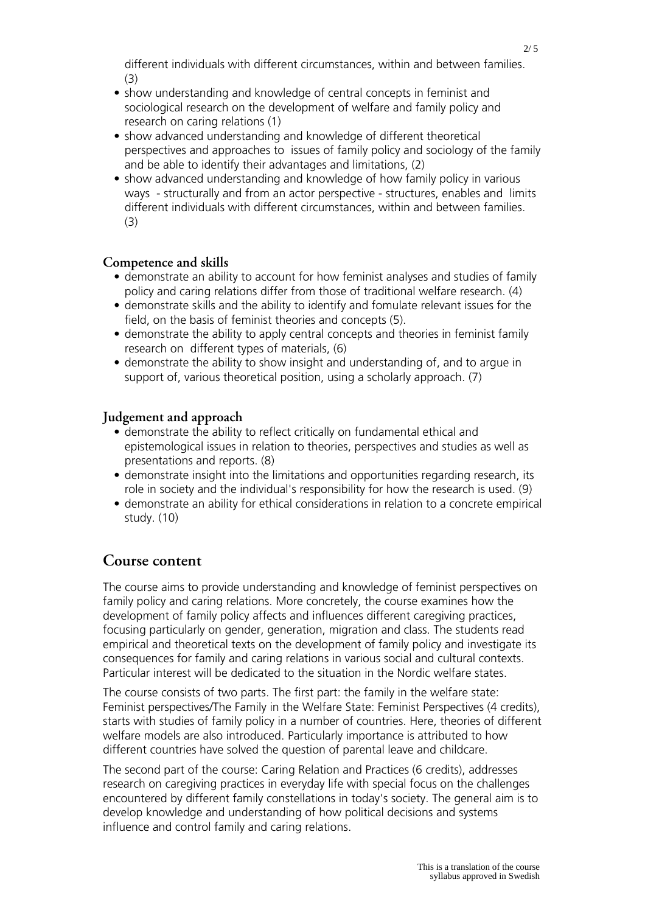different individuals with different circumstances, within and between families. (3)

- show understanding and knowledge of central concepts in feminist and sociological research on the development of welfare and family policy and research on caring relations (1)
- show advanced understanding and knowledge of different theoretical perspectives and approaches to issues of family policy and sociology of the family and be able to identify their advantages and limitations, (2)
- show advanced understanding and knowledge of how family policy in various ways - structurally and from an actor perspective - structures, enables and limits different individuals with different circumstances, within and between families. (3)

#### **Competence and skills**

- demonstrate an ability to account for how feminist analyses and studies of family policy and caring relations differ from those of traditional welfare research. (4)
- demonstrate skills and the ability to identify and fomulate relevant issues for the field, on the basis of feminist theories and concepts (5).
- demonstrate the ability to apply central concepts and theories in feminist family research on different types of materials, (6)
- demonstrate the ability to show insight and understanding of, and to argue in support of, various theoretical position, using a scholarly approach. (7)

#### **Judgement and approach**

- demonstrate the ability to reflect critically on fundamental ethical and epistemological issues in relation to theories, perspectives and studies as well as presentations and reports. (8)
- demonstrate insight into the limitations and opportunities regarding research, its role in society and the individual's responsibility for how the research is used. (9)
- demonstrate an ability for ethical considerations in relation to a concrete empirical study. (10)

#### **Course content**

The course aims to provide understanding and knowledge of feminist perspectives on family policy and caring relations. More concretely, the course examines how the development of family policy affects and influences different caregiving practices, focusing particularly on gender, generation, migration and class. The students read empirical and theoretical texts on the development of family policy and investigate its consequences for family and caring relations in various social and cultural contexts. Particular interest will be dedicated to the situation in the Nordic welfare states.

The course consists of two parts. The first part: the family in the welfare state: Feminist perspectives/The Family in the Welfare State: Feminist Perspectives (4 credits), starts with studies of family policy in a number of countries. Here, theories of different welfare models are also introduced. Particularly importance is attributed to how different countries have solved the question of parental leave and childcare.

The second part of the course: Caring Relation and Practices (6 credits), addresses research on caregiving practices in everyday life with special focus on the challenges encountered by different family constellations in today's society. The general aim is to develop knowledge and understanding of how political decisions and systems influence and control family and caring relations.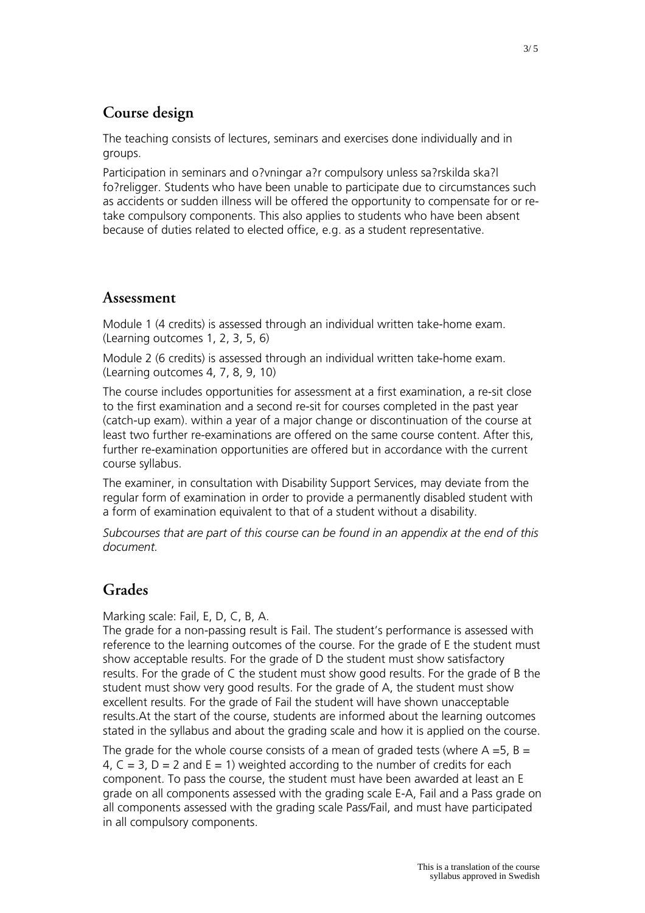# **Course design**

The teaching consists of lectures, seminars and exercises done individually and in groups.

Participation in seminars and o?vningar a?r compulsory unless sa?rskilda ska?l fo?religger. Students who have been unable to participate due to circumstances such as accidents or sudden illness will be offered the opportunity to compensate for or retake compulsory components. This also applies to students who have been absent because of duties related to elected office, e.g. as a student representative.

#### **Assessment**

Module 1 (4 credits) is assessed through an individual written take-home exam. (Learning outcomes 1, 2, 3, 5, 6)

Module 2 (6 credits) is assessed through an individual written take-home exam. (Learning outcomes 4, 7, 8, 9, 10)

The course includes opportunities for assessment at a first examination, a re-sit close to the first examination and a second re-sit for courses completed in the past year (catch-up exam). within a year of a major change or discontinuation of the course at least two further re-examinations are offered on the same course content. After this, further re-examination opportunities are offered but in accordance with the current course syllabus.

The examiner, in consultation with Disability Support Services, may deviate from the regular form of examination in order to provide a permanently disabled student with a form of examination equivalent to that of a student without a disability.

*Subcourses that are part of this course can be found in an appendix at the end of this document.*

## **Grades**

#### Marking scale: Fail, E, D, C, B, A.

The grade for a non-passing result is Fail. The student's performance is assessed with reference to the learning outcomes of the course. For the grade of E the student must show acceptable results. For the grade of D the student must show satisfactory results. For the grade of C the student must show good results. For the grade of B the student must show very good results. For the grade of A, the student must show excellent results. For the grade of Fail the student will have shown unacceptable results.At the start of the course, students are informed about the learning outcomes stated in the syllabus and about the grading scale and how it is applied on the course.

The grade for the whole course consists of a mean of graded tests (where  $A = 5$ ,  $B = 1$ 4,  $C = 3$ ,  $D = 2$  and  $E = 1$ ) weighted according to the number of credits for each component. To pass the course, the student must have been awarded at least an E grade on all components assessed with the grading scale E-A, Fail and a Pass grade on all components assessed with the grading scale Pass/Fail, and must have participated in all compulsory components.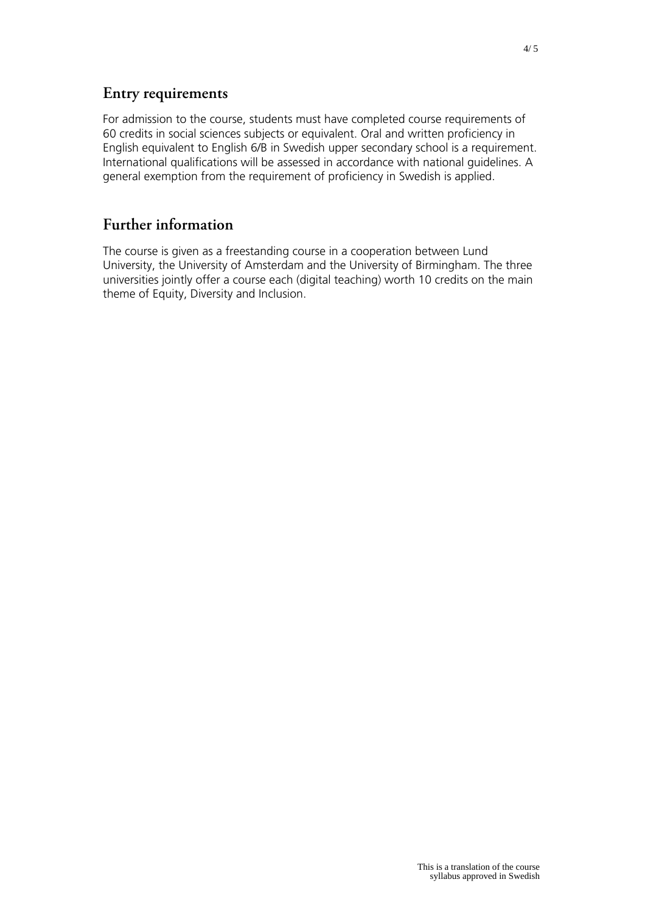## **Entry requirements**

For admission to the course, students must have completed course requirements of 60 credits in social sciences subjects or equivalent. Oral and written proficiency in English equivalent to English 6/B in Swedish upper secondary school is a requirement. International qualifications will be assessed in accordance with national guidelines. A general exemption from the requirement of proficiency in Swedish is applied.

# **Further information**

The course is given as a freestanding course in a cooperation between Lund University, the University of Amsterdam and the University of Birmingham. The three universities jointly offer a course each (digital teaching) worth 10 credits on the main theme of Equity, Diversity and Inclusion.